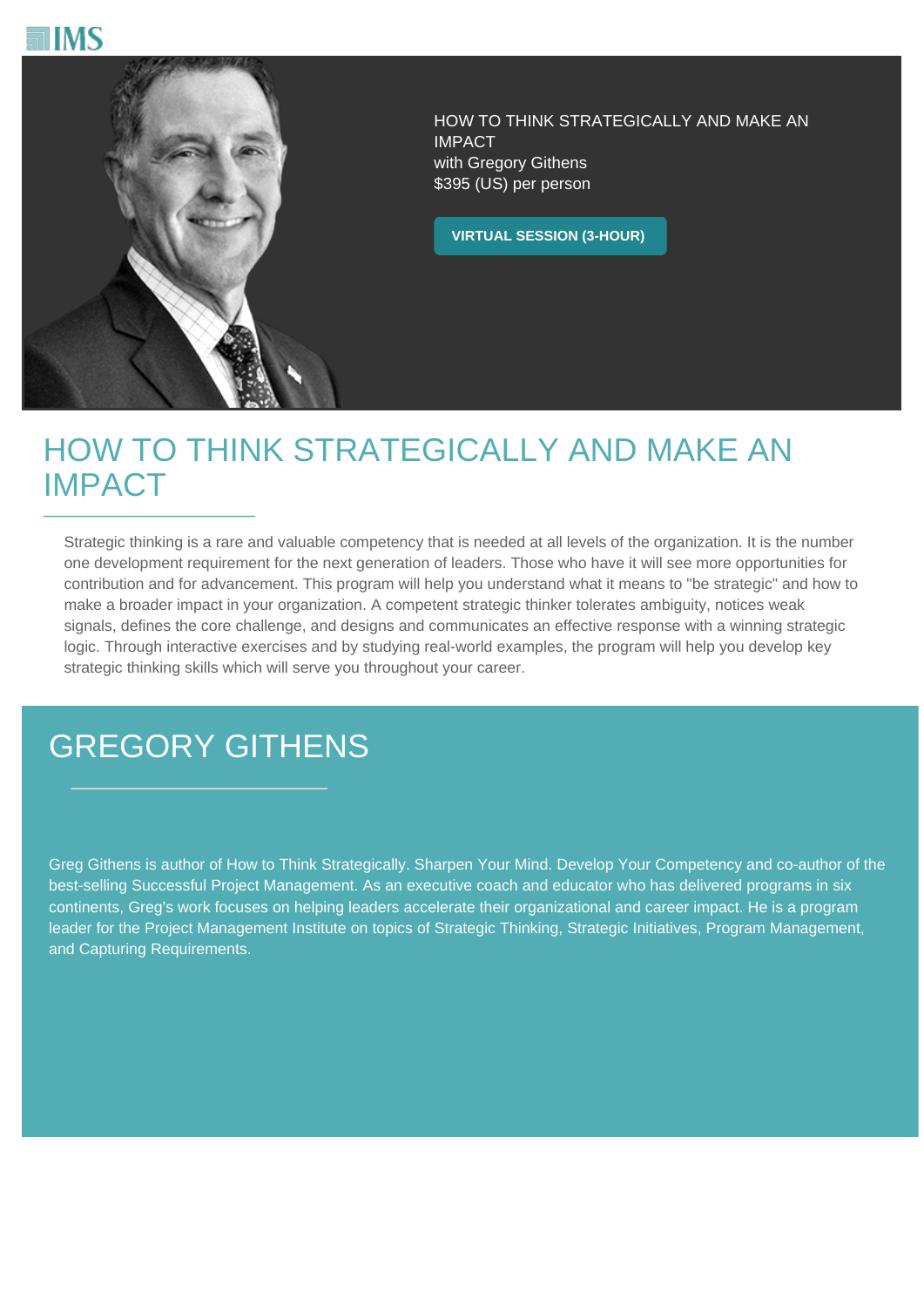



HOW TO THINK STRATEGICALLY AND MAKE AN IMPACT with Gregory Githens \$395 (US) per person

**VIRTUAL SESSION (3-HOUR)**

## HOW TO THINK STRATEGICALLY AND MAKE AN IMPACT

Strategic thinking is a rare and valuable competency that is needed at all levels of the organization. It is the number one development requirement for the next generation of leaders. Those who have it will see more opportunities for contribution and for advancement. This program will help you understand what it means to "be strategic" and how to make a broader impact in your organization. A competent strategic thinker tolerates ambiguity, notices weak signals, defines the core challenge, and designs and communicates an effective response with a winning strategic logic. Through interactive exercises and by studying real-world examples, the program will help you develop key strategic thinking skills which will serve you throughout your career.

## GREGORY GITHENS

Greg Githens is author of How to Think Strategically. Sharpen Your Mind. Develop Your Competency and co-author of the best-selling Successful Project Management. As an executive coach and educator who has delivered programs in six continents, Greg's work focuses on helping leaders accelerate their organizational and career impact. He is a program leader for the Project Management Institute on topics of Strategic Thinking, Strategic Initiatives, Program Management, and Capturing Requirements.